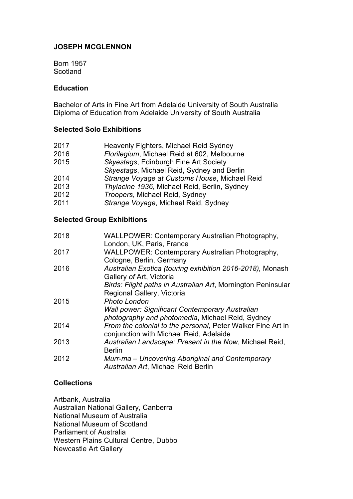### **JOSEPH MCGLENNON**

Born 1957 Scotland

### **Education**

Bachelor of Arts in Fine Art from Adelaide University of South Australia Diploma of Education from Adelaide University of South Australia

### **Selected Solo Exhibitions**

| 2017 | Heavenly Fighters, Michael Reid Sydney        |
|------|-----------------------------------------------|
| 2016 | Florilegium, Michael Reid at 602, Melbourne   |
| 2015 | Skyestags, Edinburgh Fine Art Society         |
|      | Skyestags, Michael Reid, Sydney and Berlin    |
| 2014 | Strange Voyage at Customs House, Michael Reid |
| 2013 | Thylacine 1936, Michael Reid, Berlin, Sydney  |
| 2012 | Troopers, Michael Reid, Sydney                |
| 2011 | Strange Voyage, Michael Reid, Sydney          |
|      |                                               |

## **Selected Group Exhibitions**

| 2018 | <b>WALLPOWER: Contemporary Australian Photography,</b><br>London, UK, Paris, France                        |
|------|------------------------------------------------------------------------------------------------------------|
| 2017 | WALLPOWER: Contemporary Australian Photography,<br>Cologne, Berlin, Germany                                |
| 2016 | Australian Exotica (touring exhibition 2016-2018), Monash<br>Gallery of Art, Victoria                      |
|      | Birds: Flight paths in Australian Art, Mornington Peninsular<br>Regional Gallery, Victoria                 |
| 2015 | Photo London                                                                                               |
|      | <b>Wall power: Significant Contemporary Australian</b><br>photography and photomedia, Michael Reid, Sydney |
| 2014 | From the colonial to the personal, Peter Walker Fine Art in<br>conjunction with Michael Reid, Adelaide     |
| 2013 | Australian Landscape: Present in the Now, Michael Reid,<br><b>Berlin</b>                                   |
| 2012 | Murr-ma – Uncovering Aboriginal and Contemporary<br>Australian Art, Michael Reid Berlin                    |

### **Collections**

Artbank, Australia Australian National Gallery, Canberra National Museum of Australia National Museum of Scotland Parliament of Australia Western Plains Cultural Centre, Dubbo Newcastle Art Gallery